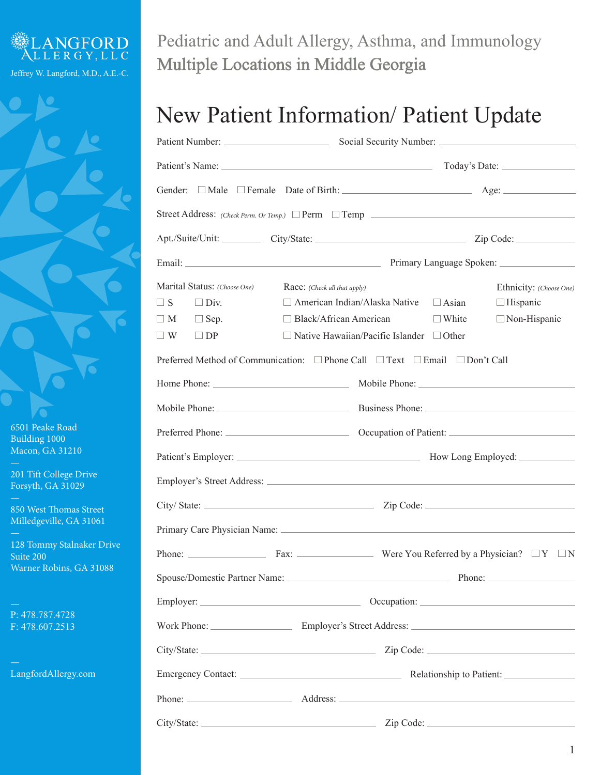

6501 Peake Road Building 1000 Macon, GA 31210

201 Tift College Drive Forsyth, GA 31029

850 West Thomas Street Milledgeville, GA 31061

128 Tommy Stalnaker Drive Suite 200 Warner Robins, GA 31088

P: 478.787.4728 F: 478.607.2513

LangfordAllergy.com

Pediatric and Adult Allergy, Asthma, and Immunology Multiple Locations in Middle Georgia

## New Patient Information/ Patient Update

|                                                                                                             |                                                                                                                                                                                                                                                                               | Street Address: $(Check \text{Perm. Or } Temp.)$ Perm $\Box$ Temp                                                                                                                                                              |
|-------------------------------------------------------------------------------------------------------------|-------------------------------------------------------------------------------------------------------------------------------------------------------------------------------------------------------------------------------------------------------------------------------|--------------------------------------------------------------------------------------------------------------------------------------------------------------------------------------------------------------------------------|
|                                                                                                             |                                                                                                                                                                                                                                                                               | Apt./Suite/Unit: City/State: City/State: Zip Code:                                                                                                                                                                             |
|                                                                                                             |                                                                                                                                                                                                                                                                               |                                                                                                                                                                                                                                |
| Marital Status: (Choose One)<br>$\Box$ S<br>$\Box$ Div.<br>$\Box$ M<br>$\Box$ Sep.<br>$\Box$ W<br>$\Box$ DP | Race: (Check all that apply)<br>$\Box$ American Indian/Alaska Native $\Box$ Asian<br>$\Box$ Black/African American<br>$\Box$ Native Hawaiian/Pacific Islander $\Box$ Other<br>Preferred Method of Communication: $\Box$ Phone Call $\Box$ Text $\Box$ Email $\Box$ Don't Call | Ethnicity: (Choose One)<br>$\Box$ Hispanic<br>$\Box$ White<br>$\Box$ Non-Hispanic                                                                                                                                              |
|                                                                                                             |                                                                                                                                                                                                                                                                               |                                                                                                                                                                                                                                |
|                                                                                                             |                                                                                                                                                                                                                                                                               |                                                                                                                                                                                                                                |
|                                                                                                             |                                                                                                                                                                                                                                                                               | Preferred Phone: Cocupation of Patient: Cocupation of Patient:                                                                                                                                                                 |
|                                                                                                             |                                                                                                                                                                                                                                                                               | Patient's Employer: Material Contract Contract Contract Contract Contract Contract Contract Contract Contract Contract Contract Contract Contract Contract Contract Contract Contract Contract Contract Contract Contract Cont |
|                                                                                                             |                                                                                                                                                                                                                                                                               |                                                                                                                                                                                                                                |
|                                                                                                             |                                                                                                                                                                                                                                                                               |                                                                                                                                                                                                                                |
|                                                                                                             |                                                                                                                                                                                                                                                                               |                                                                                                                                                                                                                                |
|                                                                                                             |                                                                                                                                                                                                                                                                               | Phone: $\_\_\_\_\_\_\_\_\_\$ Fax: $\_\_\_\_\_\_\_\_\_\_\_\_\_\$ Were You Referred by a Physician? $\_\_\_\_\_\_\_\_\_\_\_\_\$                                                                                                  |
|                                                                                                             |                                                                                                                                                                                                                                                                               |                                                                                                                                                                                                                                |
|                                                                                                             |                                                                                                                                                                                                                                                                               |                                                                                                                                                                                                                                |
|                                                                                                             |                                                                                                                                                                                                                                                                               |                                                                                                                                                                                                                                |
|                                                                                                             |                                                                                                                                                                                                                                                                               |                                                                                                                                                                                                                                |
|                                                                                                             |                                                                                                                                                                                                                                                                               |                                                                                                                                                                                                                                |
|                                                                                                             |                                                                                                                                                                                                                                                                               |                                                                                                                                                                                                                                |
|                                                                                                             |                                                                                                                                                                                                                                                                               |                                                                                                                                                                                                                                |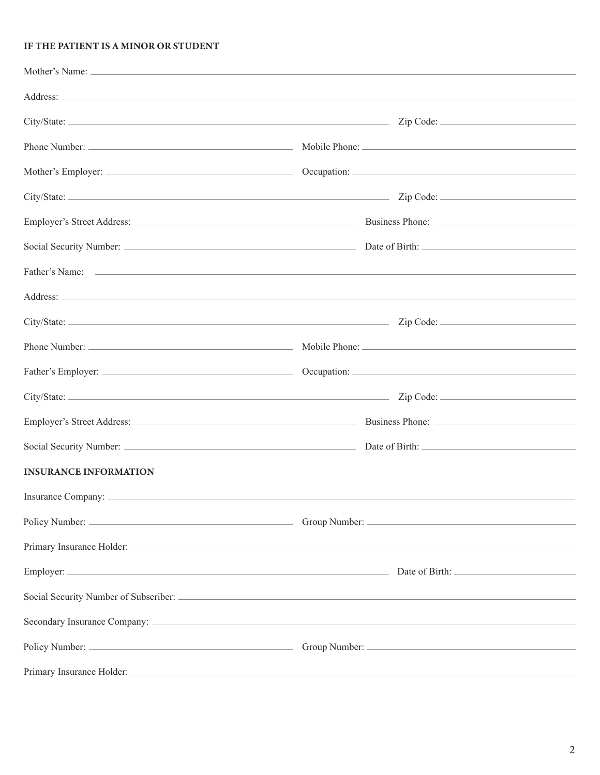### IF THE PATIENT IS A MINOR OR STUDENT

|                              | Father's Name: The Commission of the Commission of the Commission of the Commission of the Commission of the Commission of the Commission of the Commission of the Commission of the Commission of the Commission of the Commi |  |
|------------------------------|--------------------------------------------------------------------------------------------------------------------------------------------------------------------------------------------------------------------------------|--|
|                              |                                                                                                                                                                                                                                |  |
|                              | Zip Code:                                                                                                                                                                                                                      |  |
|                              |                                                                                                                                                                                                                                |  |
|                              |                                                                                                                                                                                                                                |  |
|                              |                                                                                                                                                                                                                                |  |
|                              | Employer's Street Address: Business Phone: Business Phone: 2008                                                                                                                                                                |  |
|                              |                                                                                                                                                                                                                                |  |
| <b>INSURANCE INFORMATION</b> |                                                                                                                                                                                                                                |  |
|                              |                                                                                                                                                                                                                                |  |
|                              |                                                                                                                                                                                                                                |  |
|                              |                                                                                                                                                                                                                                |  |
|                              |                                                                                                                                                                                                                                |  |
|                              |                                                                                                                                                                                                                                |  |
|                              |                                                                                                                                                                                                                                |  |
|                              |                                                                                                                                                                                                                                |  |
|                              |                                                                                                                                                                                                                                |  |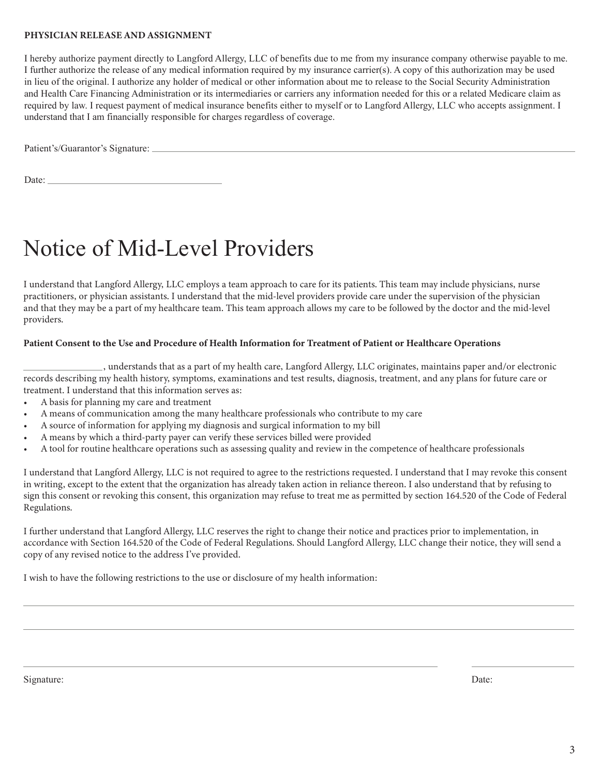### PHYSICIAN RELEASE AND ASSIGNMENT

I hereby authorize payment directly to Langford Allergy, LLC of benefits due to me from my insurance company otherwise payable to me. I further authorize the release of any medical information required by my insurance carrier(s). A copy of this authorization may be used in lieu of the original. I authorize any holder of medical or other information about me to release to the Social Security Administration and Health Care Financing Administration or its intermediaries or carriers any information needed for this or a related Medicare claim as required by law. I request payment of medical insurance benefits either to myself or to Langford Allergy, LLC who accepts assignment. I understand that I am financially responsible for charges regardless of coverage.

Patient's/Guarantor's Signature:

Date:  $\_\_$ 

## Notice of Mid-Level Providers

I understand that Langford Allergy, LLC employs a team approach to care for its patients. This team may include physicians, nurse practitioners, or physician assistants. I understand that the mid-level providers provide care under the supervision of the physician and that they may be a part of my healthcare team. This team approach allows my care to be followed by the doctor and the mid-level providers.

### Patient Consent to the Use and Procedure of Health Information for Treatment of Patient or Healthcare Operations

 , understands that as a part of my health care, Langford Allergy, LLC originates, maintains paper and/or electronic records describing my health history, symptoms, examinations and test results, diagnosis, treatment, and any plans for future care or treatment. I understand that this information serves as:

- A basis for planning my care and treatment
- A means of communication among the many healthcare professionals who contribute to my care
- A source of information for applying my diagnosis and surgical information to my bill
- A means by which a third-party payer can verify these services billed were provided
- A tool for routine healthcare operations such as assessing quality and review in the competence of healthcare professionals

I understand that Langford Allergy, LLC is not required to agree to the restrictions requested. I understand that I may revoke this consent in writing, except to the extent that the organization has already taken action in reliance thereon. I also understand that by refusing to sign this consent or revoking this consent, this organization may refuse to treat me as permitted by section 164.520 of the Code of Federal Regulations.

I further understand that Langford Allergy, LLC reserves the right to change their notice and practices prior to implementation, in accordance with Section 164.520 of the Code of Federal Regulations. Should Langford Allergy, LLC change their notice, they will send a copy of any revised notice to the address I've provided.

I wish to have the following restrictions to the use or disclosure of my health information:

Signature: Date: Date: Date: Date: Date: Date: Date: Date: Date: Date: Date: Date: Date: Date: Date: Date: Date: Date: Date: Date: Date: Date: Date: Date: Date: Date: Date: Date: Date: Date: Date: Date: Date: Date: Date: D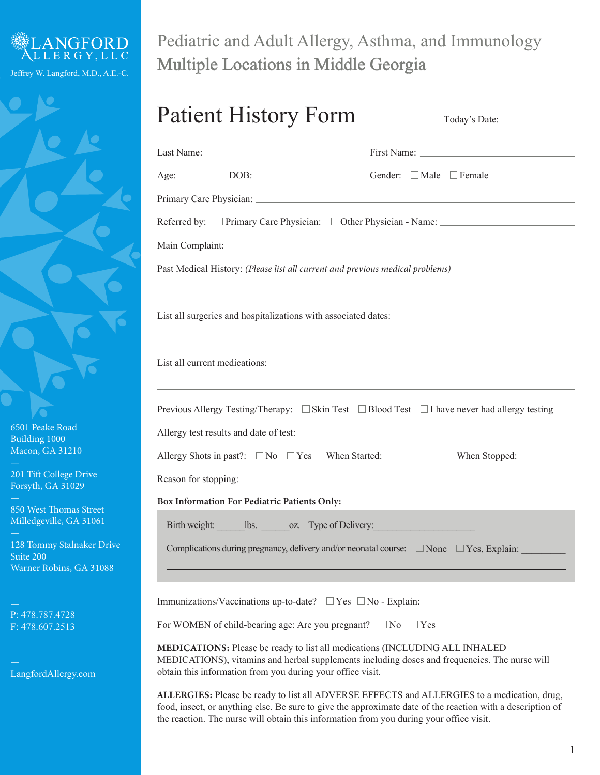

Pediatric and Adult Allergy, Asthma, and Immunology Multiple Locations in Middle Georgia

| <b>Patient History Form</b>                                                             | Today's Date:                                                                                                                                                                                             |
|-----------------------------------------------------------------------------------------|-----------------------------------------------------------------------------------------------------------------------------------------------------------------------------------------------------------|
|                                                                                         |                                                                                                                                                                                                           |
| Age: DOB: DOB: Gender: DMale Female                                                     |                                                                                                                                                                                                           |
|                                                                                         |                                                                                                                                                                                                           |
|                                                                                         | Referred by: □ Primary Care Physician: □ Other Physician - Name: __________________________________                                                                                                       |
|                                                                                         |                                                                                                                                                                                                           |
|                                                                                         | Past Medical History: (Please list all current and previous medical problems) ______________________                                                                                                      |
|                                                                                         | ,我们也不会有什么。""我们的人,我们也不会有什么?""我们的人,我们也不会有什么?""我们的人,我们也不会有什么?""我们的人,我们也不会有什么?""我们的人<br>List all surgeries and hospitalizations with associated dates:                                                        |
|                                                                                         |                                                                                                                                                                                                           |
|                                                                                         |                                                                                                                                                                                                           |
| Box Information For Pediatric Patients Only:                                            |                                                                                                                                                                                                           |
| Birth weight: ________ lbs. _______ oz. Type of Delivery: _______________________       |                                                                                                                                                                                                           |
|                                                                                         | Complications during pregnancy, delivery and/or neonatal course: $\Box$ None $\Box$ Yes, Explain:                                                                                                         |
| Immunizations/Vaccinations up-to-date? $\Box$ Yes $\Box$ No - Explain:                  |                                                                                                                                                                                                           |
| For WOMEN of child-bearing age: Are you pregnant? $\square$ No $\square$ Yes            |                                                                                                                                                                                                           |
| obtain this information from you during your office visit.                              | MEDICATIONS: Please be ready to list all medications (INCLUDING ALL INHALED<br>MEDICATIONS), vitamins and herbal supplements including doses and frequencies. The nurse will                              |
| the reaction. The nurse will obtain this information from you during your office visit. | ALLERGIES: Please be ready to list all ADVERSE EFFECTS and ALLERGIES to a medication, drug,<br>food, insect, or anything else. Be sure to give the approximate date of the reaction with a description of |

6501 Peake Road Building 1000 Macon, GA 31210

201 Tift College Drive Forsyth, GA 31029

850 West Thomas Street Milledgeville, GA 31061

128 Tommy Stalnaker Drive Suite 200 Warner Robins, GA 31088

P: 478.787.4728 F: 478.607.2513

LangfordAllergy.com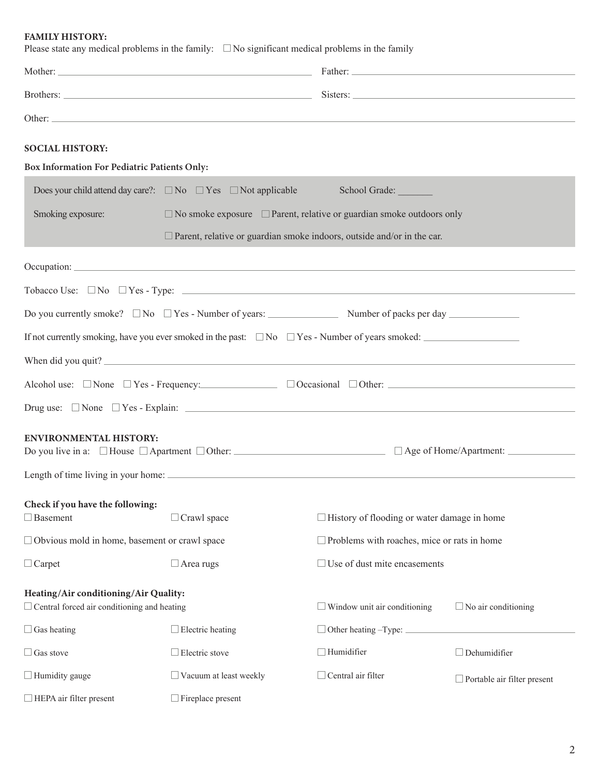FAMILY HISTORY:

| <b>SOCIAL HISTORY:</b>                                                                                                                         |                                                                                                                         |                                                    |                                    |
|------------------------------------------------------------------------------------------------------------------------------------------------|-------------------------------------------------------------------------------------------------------------------------|----------------------------------------------------|------------------------------------|
| Box Information For Pediatric Patients Only:                                                                                                   |                                                                                                                         |                                                    |                                    |
|                                                                                                                                                | Does your child attend day care?: $\square$ No $\square$ Yes $\square$ Not applicable                                   | School Grade:                                      |                                    |
| Smoking exposure:                                                                                                                              | $\Box$ No smoke exposure $\Box$ Parent, relative or guardian smoke outdoors only                                        |                                                    |                                    |
|                                                                                                                                                | $\Box$ Parent, relative or guardian smoke indoors, outside and/or in the car.                                           |                                                    |                                    |
|                                                                                                                                                |                                                                                                                         |                                                    |                                    |
|                                                                                                                                                | Tobacco Use: $\Box$ No $\Box$ Yes - Type: $\Box$                                                                        |                                                    |                                    |
|                                                                                                                                                |                                                                                                                         |                                                    |                                    |
|                                                                                                                                                |                                                                                                                         |                                                    |                                    |
|                                                                                                                                                | If not currently smoking, have you ever smoked in the past: $\square$ No $\square$ Yes - Number of years smoked:        |                                                    |                                    |
|                                                                                                                                                | When did you quit?                                                                                                      |                                                    |                                    |
|                                                                                                                                                | Alcohol use: $\Box$ None $\Box$ Yes - Frequency: $\Box$ $\Box$ Occasional $\Box$ Other: $\Box$ Occasional $\Box$ Other: |                                                    |                                    |
|                                                                                                                                                | Drug use: $\Box$ None $\Box$ Yes - Explain:                                                                             |                                                    |                                    |
| <b>ENVIRONMENTAL HISTORY:</b><br>Do you live in a: $\Box$ House $\Box$ Apartment $\Box$ Other: $\Box$ And $\Box$ Age of Home/Apartment: $\Box$ |                                                                                                                         |                                                    |                                    |
| Length of time living in your home:                                                                                                            |                                                                                                                         |                                                    |                                    |
| Check if you have the following:                                                                                                               |                                                                                                                         |                                                    |                                    |
| $\Box$ Basement                                                                                                                                | $\Box$ Crawl space                                                                                                      | $\Box$ History of flooding or water damage in home |                                    |
| $\Box$ Obvious mold in home, basement or crawl space                                                                                           |                                                                                                                         | $\Box$ Problems with roaches, mice or rats in home |                                    |
| $\Box$ Carpet                                                                                                                                  | $\Box$ Area rugs                                                                                                        | $\Box$ Use of dust mite encasements                |                                    |
| Heating/Air conditioning/Air Quality:                                                                                                          |                                                                                                                         |                                                    |                                    |
| $\Box$ Central forced air conditioning and heating                                                                                             |                                                                                                                         | $\Box$ Window unit air conditioning                | $\Box$ No air conditioning         |
| $\Box$ Gas heating                                                                                                                             | $\Box$ Electric heating                                                                                                 | □ Other heating -Type: <u>_________</u>            |                                    |
| $\Box$ Gas stove                                                                                                                               | $\Box$ Electric stove                                                                                                   | $\Box$ Humidifier                                  | $\Box$ Dehumidifier                |
| $\Box$ Humidity gauge                                                                                                                          | Vacuum at least weekly                                                                                                  | $\Box$ Central air filter                          | $\Box$ Portable air filter present |
| $\Box$ HEPA air filter present                                                                                                                 | $\Box$ Fireplace present                                                                                                |                                                    |                                    |

Please state any medical problems in the family:  $\square$  No significant medical problems in the family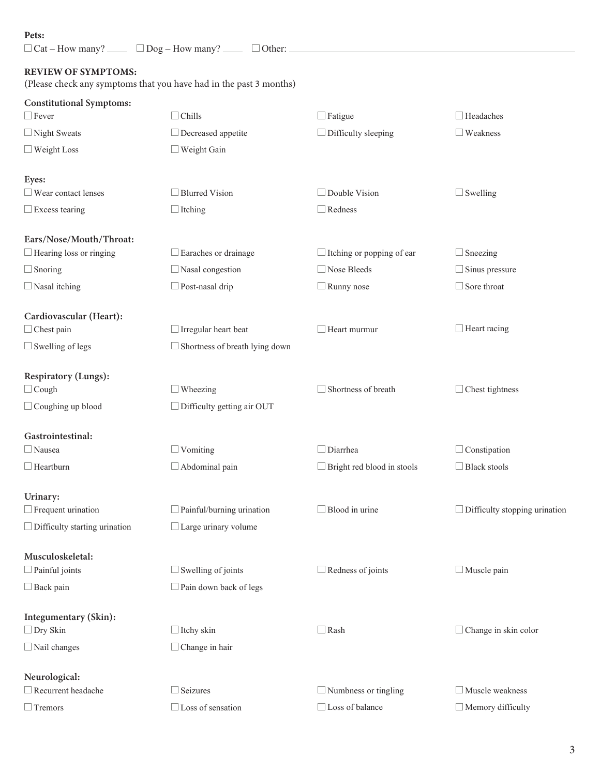### Pets:

| Pets:                                | $\Box$ Cat – How many? $\Box$ $\Box$ Dog – How many? $\Box$ $\Box$ Other: $\Box$ |                                   |                                      |
|--------------------------------------|----------------------------------------------------------------------------------|-----------------------------------|--------------------------------------|
| <b>REVIEW OF SYMPTOMS:</b>           | (Please check any symptoms that you have had in the past 3 months)               |                                   |                                      |
| <b>Constitutional Symptoms:</b>      |                                                                                  |                                   |                                      |
| $\Box$ Fever                         | $\Box$ Chills                                                                    | $\Box$ Fatigue                    | $\Box$ Headaches                     |
| $\Box$ Night Sweats                  | $\Box$ Decreased appetite                                                        | $\Box$ Difficulty sleeping        | $\Box$ Weakness                      |
| $\Box$ Weight Loss                   | $\Box$ Weight Gain                                                               |                                   |                                      |
| Eyes:                                |                                                                                  |                                   |                                      |
| $\Box$ Wear contact lenses           | $\Box$ Blurred Vision                                                            | $\Box$ Double Vision              | $\Box$ Swelling                      |
| $\Box$ Excess tearing                | $\Box$ Itching                                                                   | $\Box$ Redness                    |                                      |
| Ears/Nose/Mouth/Throat:              |                                                                                  |                                   |                                      |
| $\Box$ Hearing loss or ringing       | $\Box$ Earaches or drainage                                                      | $\Box$ Itching or popping of ear  | $\Box$ Sneezing                      |
| $\Box$ Snoring                       | $\Box$ Nasal congestion                                                          | $\Box$ Nose Bleeds                | $\Box$ Sinus pressure                |
| $\Box$ Nasal itching                 | $\Box$ Post-nasal drip                                                           | $\Box$ Runny nose                 | $\Box$ Sore throat                   |
| Cardiovascular (Heart):              |                                                                                  |                                   |                                      |
| $\Box$ Chest pain                    | $\Box$ Irregular heart beat                                                      | $\Box$ Heart murmur               | $\Box$ Heart racing                  |
| $\Box$ Swelling of legs              | $\Box$ Shortness of breath lying down                                            |                                   |                                      |
| Respiratory (Lungs):                 |                                                                                  |                                   |                                      |
| $\Box$ Cough                         | $\Box$ Wheezing                                                                  | $\Box$ Shortness of breath        | $\Box$ Chest tightness               |
| $\Box$ Coughing up blood             | $\Box$ Difficulty getting air OUT                                                |                                   |                                      |
| Gastrointestinal:                    |                                                                                  |                                   |                                      |
| $\Box$ Nausea                        | $\Box$ Vomiting                                                                  | $\Box$ Diarrhea                   | $\Box$ Constipation                  |
| $\Box$ Heartburn                     | $\Box$ Abdominal pain                                                            | $\Box$ Bright red blood in stools | $\Box$ Black stools                  |
| Urinary:                             |                                                                                  |                                   |                                      |
| $\Box$ Frequent urination            | $\Box$ Painful/burning urination                                                 | $\Box$ Blood in urine             | $\Box$ Difficulty stopping urination |
| $\Box$ Difficulty starting urination | $\Box$ Large urinary volume                                                      |                                   |                                      |
| Musculoskeletal:                     |                                                                                  |                                   |                                      |
| $\Box$ Painful joints                | $\Box$ Swelling of joints                                                        | $\Box$ Redness of joints          | $\Box$ Muscle pain                   |
| $\Box$ Back pain                     | $\Box$ Pain down back of legs                                                    |                                   |                                      |
| Integumentary (Skin):                |                                                                                  |                                   |                                      |
| $\Box$ Dry Skin                      | $\Box$ Itchy skin                                                                | $\Box$ Rash                       | $\Box$ Change in skin color          |
| $\Box$ Nail changes                  | $\Box$ Change in hair                                                            |                                   |                                      |
| Neurological:                        |                                                                                  |                                   |                                      |
| $\Box$ Recurrent headache            | $\Box$ Seizures                                                                  | $\Box$ Numbness or tingling       | $\Box$ Muscle weakness               |
| $\Box$ Tremors                       | $\Box$ Loss of sensation                                                         | $\Box$ Loss of balance            | $\Box$ Memory difficulty             |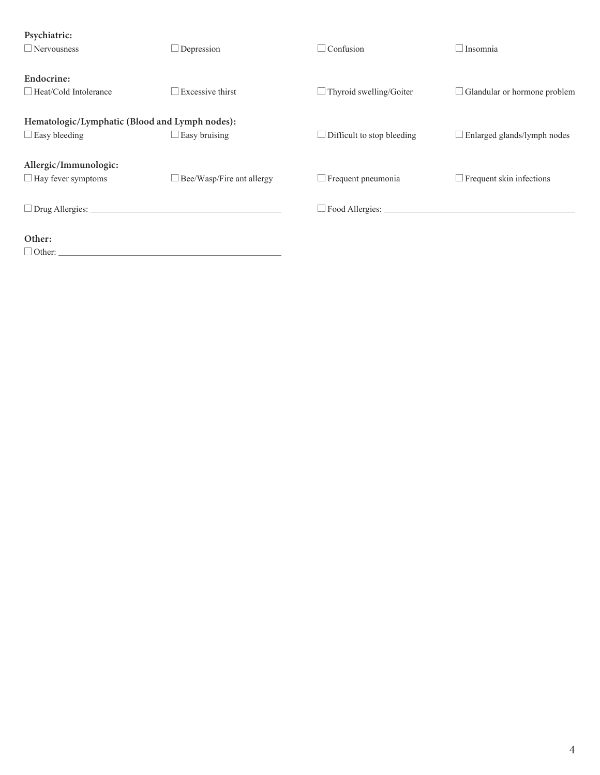| Psychiatric:<br>$\Box$ Nervousness                                     | Depression                                                                                | $\Box$ Confusion                  | $\Box$ Insomnia                     |
|------------------------------------------------------------------------|-------------------------------------------------------------------------------------------|-----------------------------------|-------------------------------------|
| Endocrine:<br>$\Box$ Heat/Cold Intolerance                             | Excessive thirst                                                                          | $\Box$ Thyroid swelling/Goiter    | $\Box$ Glandular or hormone problem |
| Hematologic/Lymphatic (Blood and Lymph nodes):<br>$\Box$ Easy bleeding | <b>Easy bruising</b>                                                                      | $\Box$ Difficult to stop bleeding | Enlarged glands/lymph nodes         |
| Allergic/Immunologic:<br>$\Box$ Hay fever symptoms                     | □ Bee/Wasp/Fire ant allergy                                                               | $\Box$ Frequent pneumonia         | $\Box$ Frequent skin infections     |
| $\Box$ Drug Allergies: $\Box$                                          | the control of the control of the control of the control of the control of the control of |                                   |                                     |
| Other:<br>$\Box$ Other:                                                |                                                                                           |                                   |                                     |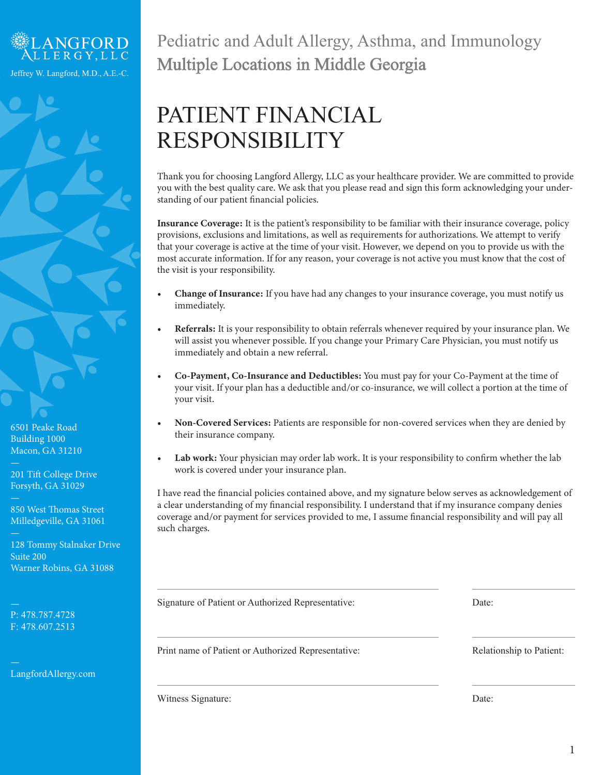

6501 Peake Road Building 1000 Macon, GA 31210

201 Tift College Drive Forsyth, GA 31029

850 West Thomas Street Milledgeville, GA 31061

128 Tommy Stalnaker Drive Suite 200 Warner Robins, GA 31088

P: 478.787.4728 F: 478.607.2513

LangfordAllergy.com

## Pediatric and Adult Allergy, Asthma, and Immunology Multiple Locations in Middle Georgia

# PATIENT FINANCIAL RESPONSIBILITY

Thank you for choosing Langford Allergy, LLC as your healthcare provider. We are committed to provide you with the best quality care. We ask that you please read and sign this form acknowledging your understanding of our patient financial policies.

Insurance Coverage: It is the patient's responsibility to be familiar with their insurance coverage, policy provisions, exclusions and limitations, as well as requirements for authorizations. We attempt to verify that your coverage is active at the time of your visit. However, we depend on you to provide us with the most accurate information. If for any reason, your coverage is not active you must know that the cost of the visit is your responsibility.

- Change of Insurance: If you have had any changes to your insurance coverage, you must notify us immediately.
- Referrals: It is your responsibility to obtain referrals whenever required by your insurance plan. We will assist you whenever possible. If you change your Primary Care Physician, you must notify us immediately and obtain a new referral.
- Co-Payment, Co-Insurance and Deductibles: You must pay for your Co-Payment at the time of your visit. If your plan has a deductible and/or co-insurance, we will collect a portion at the time of your visit.
- Non-Covered Services: Patients are responsible for non-covered services when they are denied by their insurance company.
- Lab work: Your physician may order lab work. It is your responsibility to confirm whether the lab work is covered under your insurance plan.

I have read the financial policies contained above, and my signature below serves as acknowledgement of a clear understanding of my financial responsibility. I understand that if my insurance company denies coverage and/or payment for services provided to me, I assume financial responsibility and will pay all such charges.

Signature of Patient or Authorized Representative:

Print name of Patient or Authorized Representative:

Witness Signature:

Date:

Relationship to Patient:

Date: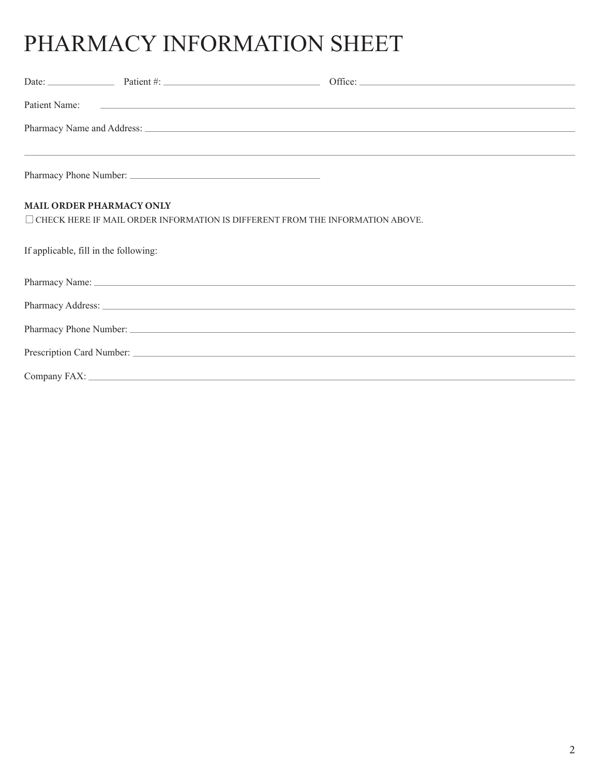# PHARMACY INFORMATION SHEET

| Patient Name:                         | <u> 1980 - Johann Stein, mars an deutscher Stein und der Stein und der Stein und der Stein und der Stein und der</u>                                                                                                                 |
|---------------------------------------|--------------------------------------------------------------------------------------------------------------------------------------------------------------------------------------------------------------------------------------|
|                                       | Pharmacy Name and Address: <u>example and a series of the series of the series of the series of the series of the series of the series of the series of the series of the series of the series of the series of the series of th</u> |
|                                       |                                                                                                                                                                                                                                      |
| MAIL ORDER PHARMACY ONLY              |                                                                                                                                                                                                                                      |
|                                       | $\Box$ CHECK HERE IF MAIL ORDER INFORMATION IS DIFFERENT FROM THE INFORMATION ABOVE.                                                                                                                                                 |
| If applicable, fill in the following: |                                                                                                                                                                                                                                      |
|                                       |                                                                                                                                                                                                                                      |
|                                       |                                                                                                                                                                                                                                      |
|                                       |                                                                                                                                                                                                                                      |
|                                       |                                                                                                                                                                                                                                      |
|                                       |                                                                                                                                                                                                                                      |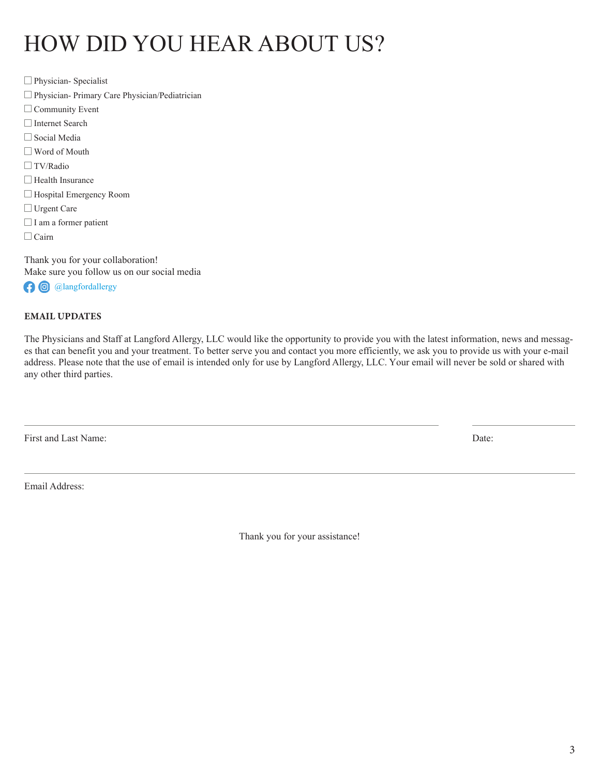## HOW DID YOU HEAR ABOUT US?

□ Physician- Specialist Social Media  $\Box$  Community Event  $\Box$  TV/Radio □ Urgent Care Physician- Primary Care Physician/Pediatrician Word of Mouth □ Hospital Emergency Room Internet Search  $\Box$  Health Insurance  $\Box$  I am a former patient  $\Box$  Cairn

Thank you for your collaboration! Make sure you follow us on our social media **O** @langfordallergy

### EMAIL UPDATES

The Physicians and Staff at Langford Allergy, LLC would like the opportunity to provide you with the latest information, news and messages that can benefit you and your treatment. To better serve you and contact you more efficiently, we ask you to provide us with your e-mail address. Please note that the use of email is intended only for use by Langford Allergy, LLC. Your email will never be sold or shared with any other third parties.

First and Last Name: Date: Date:

Email Address:

Thank you for your assistance!